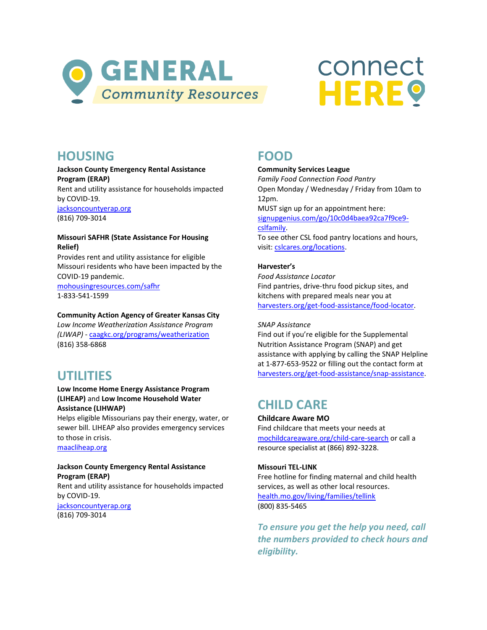

# connect **HERE?**

# **HOUSING**

### **Jackson County Emergency Rental Assistance Program (ERAP)**

Rent and utility assistance for households impacted by COVID-19.

[jacksoncountyerap.org](http://jacksoncountyerap.org/) (816) 709-3014

### **Missouri SAFHR (State Assistance For Housing Relief)**

Provides rent and utility assistance for eligible Missouri residents who have been impacted by the COVID-19 pandemic.

[mohousingresources.com/safhr](http://www.mohousingresources.com/safhr) 1-833-541-1599

### **Community Action Agency of Greater Kansas City**

*Low Income Weatherization Assistance Program (LIWAP) -* [caagkc.org/programs/weatherization](https://caagkc.org/programs/weatherization/) (816) 358-6868

# **UTILITIES**

### **Low Income Home Energy Assistance Program (LIHEAP)** and **Low Income Household Water Assistance (LIHWAP)**

Helps eligible Missourians pay their energy, water, or sewer bill. LIHEAP also provides emergency services to those in crisis. [maacliheap.org](http://maacliheap.org/)

### **Jackson County Emergency Rental Assistance Program (ERAP)**

Rent and utility assistance for households impacted by COVID-19. [jacksoncountyerap.org](http://jacksoncountyerap.org/) (816) 709-3014

# **FOOD**

### **Community Services League**

*Family Food Connection Food Pantry* Open Monday / Wednesday / Friday from 10am to 12pm.

MUST sign up for an appointment here: [signupgenius.com/go/10c0d4baea92ca7f9ce9](https://www.signupgenius.com/go/10c0d4baea92ca7f9ce9-cslfamily) [cslfamily.](https://www.signupgenius.com/go/10c0d4baea92ca7f9ce9-cslfamily) To see other CSL food pantry locations and hours, visit[: cslcares.org/locations.](https://www.cslcares.org/locations)

### **Harvester's**

*Food Assistance Locator* Find pantries, drive-thru food pickup sites, and kitchens with prepared meals near you at [harvesters.org/get-food-assistance/food-locator.](https://www.harvesters.org/get-food-assistance/food-locator)

### *SNAP Assistance*

Find out if you're eligible for the Supplemental Nutrition Assistance Program (SNAP) and get assistance with applying by calling the SNAP Helpline at 1-877-653-9522 or filling out the contact form at [harvesters.org/get-food-assistance/snap-assistance.](https://www.harvesters.org/get-food-assistance/snap-assistance)

# **CHILD CARE**

### **Childcare Aware MO**

Find childcare that meets your needs at [mochildcareaware.org/child-care-search](https://mochildcareaware.org/child-care-search) or call a resource specialist at (866) 892-3228.

### **Missouri TEL-LINK**

Free hotline for finding maternal and child health services, as well as other local resources. [health.mo.gov/living/families/tellink](https://health.mo.gov/living/families/tellink/) (800) 835-5465

*To ensure you get the help you need, call the numbers provided to check hours and eligibility.*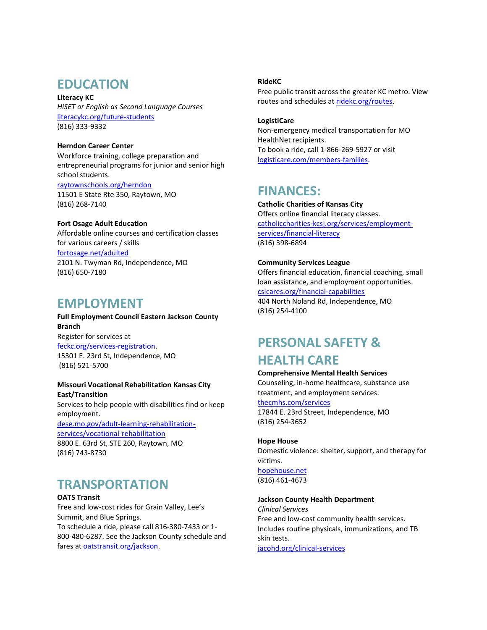# **EDUCATION**

**Literacy KC** *HiSET or English as Second Language Courses* [literacykc.org/future-students](https://literacykc.org/future-students/)  (816) 333-9332

**Herndon Career Center** Workforce training, college preparation and entrepreneurial programs for junior and senior high school students. [raytownschools.org/herndon](https://www.raytownschools.org/herndon) 11501 E State Rte 350, Raytown, MO (816) 268-7140

### **Fort Osage Adult Education**

Affordable online courses and certification classes for various careers / skills [fortosage.net/adulted](https://www.fortosage.net/adulted) 2101 N. Twyman Rd, Independence, MO (816) 650-7180

### **EMPLOYMENT**

### **Full Employment Council Eastern Jackson County Branch**

Register for services at [feckc.org/services-registration.](https://www.feckc.org/services-registration) 15301 E. 23rd St, Independence, MO (816) 521-5700

### **Missouri Vocational Rehabilitation Kansas City East/Transition**

Services to help people with disabilities find or keep employment.

[dese.mo.gov/adult-learning-rehabilitation](https://dese.mo.gov/adult-learning-rehabilitation-services/vocational-rehabilitation)[services/vocational-rehabilitation](https://dese.mo.gov/adult-learning-rehabilitation-services/vocational-rehabilitation) 8800 E. 63rd St, STE 260, Raytown, MO (816) 743-8730

# **TRANSPORTATION**

**OATS Transit** Free and low-cost rides for Grain Valley, Lee's Summit, and Blue Springs. To schedule a ride, please call 816-380-7433 or 1- 800-480-6287. See the Jackson County schedule and fares at **oatstransit.org/jackson**.

### **RideKC**

Free public transit across the greater KC metro. View routes and schedules at [ridekc.org/routes.](https://ridekc.org/routes)

### **LogistiCare**

Non-emergency medical transportation for MO HealthNet recipients. To book a ride, call 1-866-269-5927 or visit [logisticare.com/members-families.](https://www.logisticare.com/members-families)

# **FINANCES:**

**Catholic Charities of Kansas City** Offers online financial literacy classes. [catholiccharities-kcsj.org/services/employment](https://catholiccharities-kcsj.org/services/employment-services/financial-literacy/)[services/financial-literacy](https://catholiccharities-kcsj.org/services/employment-services/financial-literacy/) (816) 398-6894

### **Community Services League**

Offers financial education, financial coaching, small loan assistance, and employment opportunities. [cslcares.org/financial-capabilities](https://www.cslcares.org/financial-capabilities) 404 North Noland Rd, Independence, MO

(816) 254-4100

# **PERSONAL SAFETY & HEALTH CARE**

### **Comprehensive Mental Health Services**

Counseling, in-home healthcare, substance use treatment, and employment services. [thecmhs.com/services](https://thecmhs.com/services/) 17844 E. 23rd Street, Independence, MO (816) 254-3652

### **Hope House**

Domestic violence: shelter, support, and therapy for victims. [hopehouse.net](https://www.hopehouse.net/) (816) 461-4673

### **Jackson County Health Department**

*Clinical Services* Free and low-cost community health services. Includes routine physicals, immunizations, and TB skin tests.

[jacohd.org/clinical-services](https://jacohd.org/clinical-services/)